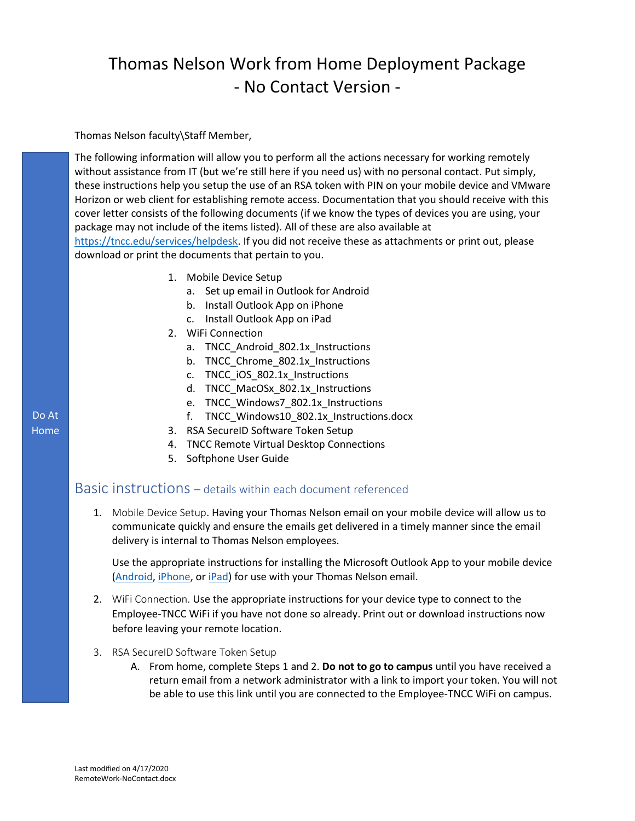## Thomas Nelson Work from Home Deployment Package - No Contact Version -

Thomas Nelson faculty\Staff Member,

The following information will allow you to perform all the actions necessary for working remotely without assistance from IT (but we're still here if you need us) with no personal contact. Put simply, these instructions help you setup the use of an RSA token with PIN on your mobile device and VMware Horizon or web client for establishing remote access. Documentation that you should receive with this cover letter consists of the following documents (if we know the types of devices you are using, your package may not include of the items listed). All of these are also available at [https://tncc.edu/services/helpdesk.](https://tncc.edu/services/helpdesk) If you did not receive these as attachments or print out, please

download or print the documents that pertain to you.

- 1. Mobile Device Setup
	- a. Set up email in Outlook for Android
	- b. Install Outlook App on iPhone
	- c. Install Outlook App on iPad
- 2. WiFi Connection
	- a. TNCC\_Android\_802.1x\_Instructions
	- b. TNCC Chrome 802.1x Instructions
	- c. TNCC\_iOS\_802.1x\_Instructions
	- d. TNCC\_MacOSx\_802.1x\_Instructions
	- e. TNCC\_Windows7\_802.1x\_Instructions
	- f. TNCC\_Windows10\_802.1x\_Instructions.docx
- 3. RSA SecureID Software Token Setup
- 4. TNCC Remote Virtual Desktop Connections
- 5. Softphone User Guide

## Basic instructions – details within each document referenced

1. Mobile Device Setup. Having your Thomas Nelson email on your mobile device will allow us to communicate quickly and ensure the emails get delivered in a timely manner since the email delivery is internal to Thomas Nelson employees.

Use the appropriate instructions for installing the Microsoft Outlook App to your mobile device [\(Android,](https://tncc.edu/sites/default/files/content-documents/Set%20up%20email%20in%20Outlook%20for%20Android.pdf) [iPhone,](https://tncc.edu/sites/default/files/content-documents/Install%20Outlook%20App%20on%20iPhone.pdf) or [iPad\)](https://tncc.edu/sites/default/files/content-documents/Install%20Outlook%20App%20on%20iPad.pdf) for use with your Thomas Nelson email.

- 2. WiFi Connection. Use the appropriate instructions for your device type to connect to the Employee-TNCC WiFi if you have not done so already. Print out or download instructions now before leaving your remote location.
- 3. RSA SecureID Software Token Setup
	- A. From home, complete Steps 1 and 2. **Do not to go to campus** until you have received a return email from a network administrator with a link to import your token. You will not be able to use this link until you are connected to the Employee-TNCC WiFi on campus.

## Do At Home